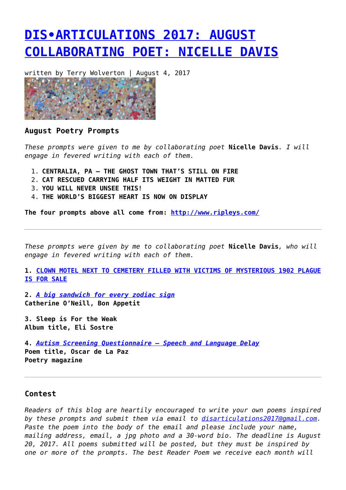## **[DIS•ARTICULATIONS 2017: AUGUST](https://entropymag.org/dis%e2%80%a2articulations-2017-august-collaborating-poet-nicelle-davis/) [COLLABORATING POET: NICELLE DAVIS](https://entropymag.org/dis%e2%80%a2articulations-2017-august-collaborating-poet-nicelle-davis/)**

written by Terry Wolverton | August 4, 2017



## **August Poetry Prompts**

*These prompts were given to me by collaborating poet* **Nicelle Davis***. I will engage in fevered writing with each of them.*

- 1. **CENTRALIA, PA THE GHOST TOWN THAT'S STILL ON FIRE**
- 2. **CAT RESCUED CARRYING HALF ITS WEIGHT IN MATTED FUR**
- 3. **YOU WILL NEVER UNSEE THIS!**
- 4. **THE WORLD'S BIGGEST HEART IS NOW ON DISPLAY**

**The four prompts above all come from:<http://www.ripleys.com/>**

*These prompts were given by me to collaborating poet* **Nicelle Davis***, who will engage in fevered writing with each of them.*

**1. [CLOWN MOTEL NEXT TO CEMETERY FILLED WITH VICTIMS OF MYSTERIOUS 1902 PLAGUE](http://riotfest.org/2017/07/clown-motel-next-to-cemetery-filled-with-victims-of-mysterious-1902-plague-is-for-sale/) [IS FOR SALE](http://riotfest.org/2017/07/clown-motel-next-to-cemetery-filled-with-victims-of-mysterious-1902-plague-is-for-sale/)**

**2.** *[A big sandwich for every zodiac sign](http://www.bonappetit.com/story/august-horoscopes-sandwiches)* **Catherine O'Neill, Bon Appetit**

**3. Sleep is For the Weak Album title, Eli Sostre**

**4.** *[Autism Screening Questionnaire — Speech and Language Delay](https://www.poetryfoundation.org/poetrymagazine/poems/142858/autism-screening-questionnaire-speech-and-language-delay)* **Poem title, Oscar de La Paz Poetry magazine**

## **Contest**

*Readers of this blog are heartily encouraged to write your own poems inspired by these prompts and submit them via email to [disarticulations2017@gmail.com.](mailto:disarticulations2017@gmail.com) Paste the poem into the body of the email and please include your name, mailing address, email, a jpg photo and a 30-word bio. The deadline is August 20, 2017. All poems submitted will be posted, but they must be inspired by one or more of the prompts. The best Reader Poem we receive each month will*